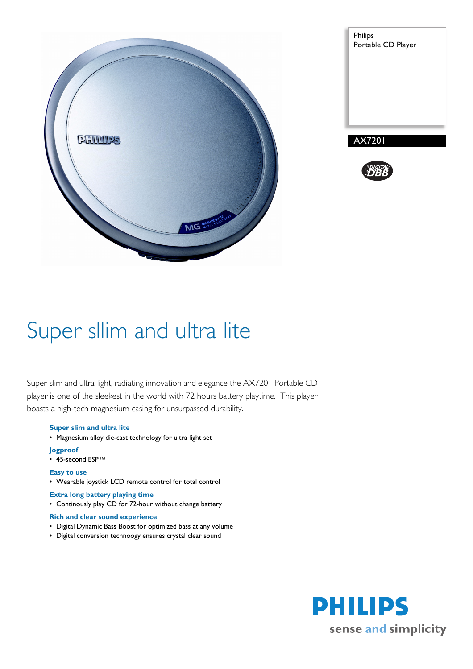

| Philips<br>Portable CD Player |
|-------------------------------|
|                               |
|                               |
|                               |
|                               |
|                               |
| <b>AX7201</b>                 |



# Super sllim and ultra lite

Super-slim and ultra-light, radiating innovation and elegance the AX7201 Portable CD player is one of the sleekest in the world with 72 hours battery playtime. This player boasts a high-tech magnesium casing for unsurpassed durability.

### **Super slim and ultra lite**

• Magnesium alloy die-cast technology for ultra light set

#### **Jogproof**

• 45-second ESP™

#### **Easy to use**

• Wearable joystick LCD remote control for total control

### **Extra long battery playing time**

• Continously play CD for 72-hour without change battery

#### **Rich and clear sound experience**

- Digital Dynamic Bass Boost for optimized bass at any volume
- Digital conversion technoogy ensures crystal clear sound